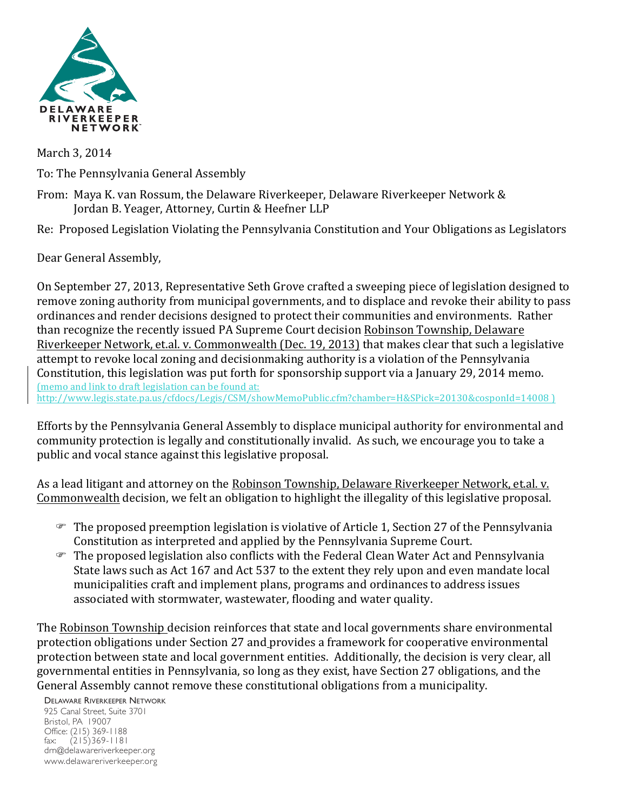

March 3, 2014 To: The Pennsylvania General Assembly

From: Maya K. van Rossum, the Delaware Riverkeeper, Delaware Riverkeeper Network & Jordan B. Yeager, Attorney, Curtin & Heefner LLP

Re: Proposed Legislation Violating the Pennsylvania Constitution and Your Obligations as Legislators

Dear General Assembly,

On September 27, 2013, Representative Seth Grove crafted a sweeping piece of legislation designed to remove zoning authority from municipal governments, and to displace and revoke their ability to pass ordinances and render decisions designed to protect their communities and environments. Rather than recognize the recently issued PA Supreme Court decision Robinson Township, Delaware Riverkeeper Network, et.al. v. Commonwealth (Dec. 19, 2013) that makes clear that such a legislative attempt to revoke local zoning and decisionmaking authority is a violation of the Pennsylvania Constitution, this legislation was put forth for sponsorship support via a January 29, 2014 memo. (memo and link to draft legislation can be found at: http://www.legis.state.pa.us/cfdocs/Legis/CSM/showMemoPublic.cfm?chamber=H&SPick=20130&cosponId=14008 )

Efforts by the Pennsylvania General Assembly to displace municipal authority for environmental and community protection is legally and constitutionally invalid. As such, we encourage you to take a public and vocal stance against this legislative proposal.

As a lead litigant and attorney on the Robinson Township, Delaware Riverkeeper Network, et.al. v. Commonwealth decision, we felt an obligation to highlight the illegality of this legislative proposal.

- $\mathcal F$  The proposed preemption legislation is violative of Article 1, Section 27 of the Pennsylvania Constitution as interpreted and applied by the Pennsylvania Supreme Court.
- $\mathcal{F}$  The proposed legislation also conflicts with the Federal Clean Water Act and Pennsylvania State laws such as Act 167 and Act 537 to the extent they rely upon and even mandate local municipalities craft and implement plans, programs and ordinances to address issues associated with stormwater, wastewater, flooding and water quality.

The Robinson Township decision reinforces that state and local governments share environmental protection obligations under Section 27 and provides a framework for cooperative environmental protection between state and local government entities. Additionally, the decision is very clear, all governmental entities in Pennsylvania, so long as they exist, have Section 27 obligations, and the General Assembly cannot remove these constitutional obligations from a municipality.

DELAWARE RIVERKEEPER NETWORK

925 Canal Street, Suite 3701 Bristol, PA 19007 Office: (215) 369-1188 fax: (215)369-1181 drn@delawareriverkeeper.org www.delawareriverkeeper.org